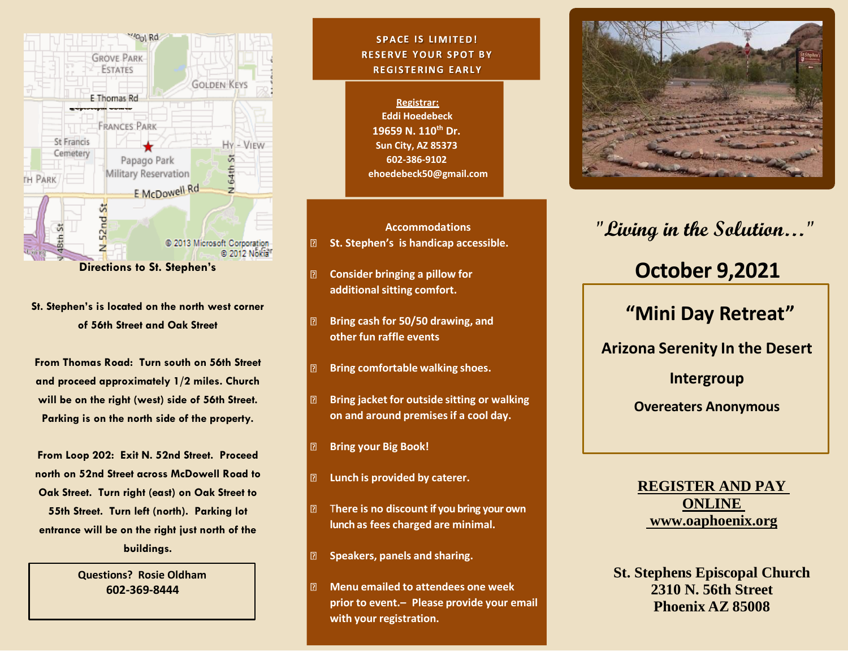

**Directions to St. Stephen's**

**St. Stephen's is located on the north west corner of 56th Street and Oak Street**

**From Thomas Road: Turn south on 56th Street and proceed approximately 1/2 miles. Church will be on the right (west) side of 56th Street. Parking is on the north side of the property.**

**From Loop 202: Exit N. 52nd Street. Proceed north on 52nd Street across McDowell Road to Oak Street. Turn right (east) on Oak Street to 55th Street. Turn left (north). Parking lot entrance will be on the right just north of the buildings.**

> **Questions? Rosie Oldham 602-369-8444**

### **SPACE IS LIMITED! RESERVE YOUR SPOT BY REGISTERING EARLY**

**Registrar: Eddi Hoedebeck 19659 N. 110th Dr. Sun City, AZ 85373 602-386-9102 ehoedebeck50@gmail.com**

**Accommodations St. Stephen's is handicap accessible.**

 $\boxed{2}$ **Consider bringing a pillow for additionalsitting comfort.**

 $\boxed{2}$ 

- $\boxed{2}$ **Bring cash for 50/50 drawing, and other fun raffle events**
- $\boxed{2}$ **Bring comfortable walking shoes.**
- **Bring jacket for outside sitting or walking**  $\boxed{2}$ **on and around premisesif a cool day.**
- **Bring your Big Book!**  $\boxed{2}$
- **Lunch is provided by caterer.**  $\boxed{2}$
- T**here is no discount if you bring your own**   $\boxed{2}$ **lunch as fees charged are minimal.**
- **Speakers, panels and sharing.**
- $\boxed{?}$ **Menu emailed to attendees one week prior to event.– Please provide your email with your registration.**



# **"Living in the Solution…"**

# **October 9,2021**

## **"Mini Day Retreat"**

**Arizona Serenity In the Desert** 

**Intergroup**

**Overeaters Anonymous**

**REGISTER AND PAY ONLINE www.oaphoenix.org**

**St. Stephens Episcopal Church 2310 N. 56th Street Phoenix AZ 85008**